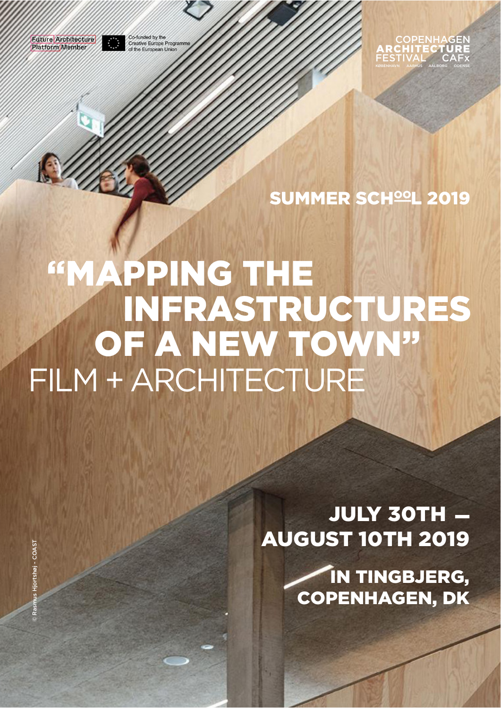**Future Architecture Platform** Member

Co-funded by the<br>Creative Europe Programme  $\mathcal{L}$ of the European Union



SUMMER SCH<sup>oo</sup>L 2019

# "MAPPING THE INFRASTRUCTURES OF A NEW TOWN" FILM + ARCHITECTURE

**JULY 30TH -**AUGUST 10TH 2019

> IN TINGBJERG, COPENHAGEN, DK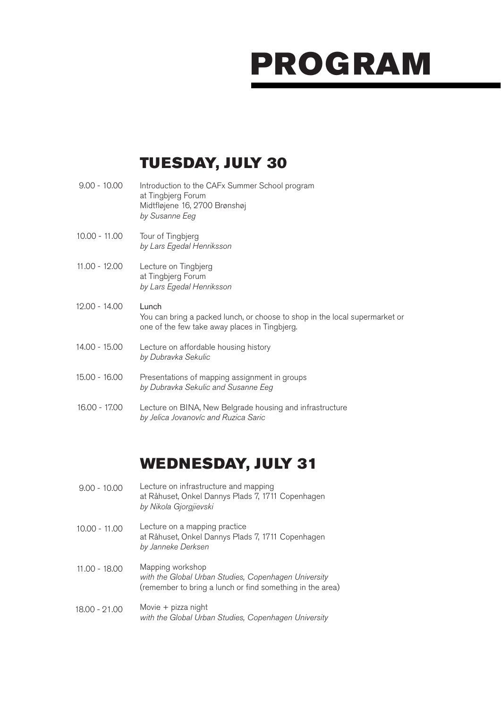### TUESDAY, JULY 30

| $9.00 - 10.00$ | Introduction to the CAFx Summer School program<br>at Tingbjerg Forum<br>Midtfløjene 16, 2700 Brønshøj<br>by Susanne Eeg               |
|----------------|---------------------------------------------------------------------------------------------------------------------------------------|
| 10.00 - 11.00  | Tour of Tingbjerg<br>by Lars Egedal Henriksson                                                                                        |
| 11.00 - 12.00  | Lecture on Tingbjerg<br>at Tingbjerg Forum<br>by Lars Egedal Henriksson                                                               |
| 12.00 - 14.00  | Lunch<br>You can bring a packed lunch, or choose to shop in the local supermarket or<br>one of the few take away places in Tingbjerg. |
| 14.00 - 15.00  | Lecture on affordable housing history<br>by Dubravka Sekulic                                                                          |
| 15.00 - 16.00  | Presentations of mapping assignment in groups<br>by Dubravka Sekulic and Susanne Eeg                                                  |
| 16.00 - 17.00  | Lecture on BINA, New Belgrade housing and infrastructure<br>by Jelica Jovanovíc and Ruzica Saric                                      |
|                |                                                                                                                                       |

#### WEDNESDAY, JULY 31

- Lecture on infrastructure and mapping at Råhuset, Onkel Dannys Plads 7, 1711 Copenhagen *by Nikola Gjorgjievski* 9.00 - 10.00
- Lecture on a mapping practice at Råhuset, Onkel Dannys Plads 7, 1711 Copenhagen *by Janneke Derksen* 10.00 - 11.00
- Mapping workshop *with the Global Urban Studies, Copenhagen University*  (remember to bring a lunch or find something in the area) 11.00 - 18.00
- Movie + pizza night *with the Global Urban Studies, Copenhagen University* 18.00 - 21.00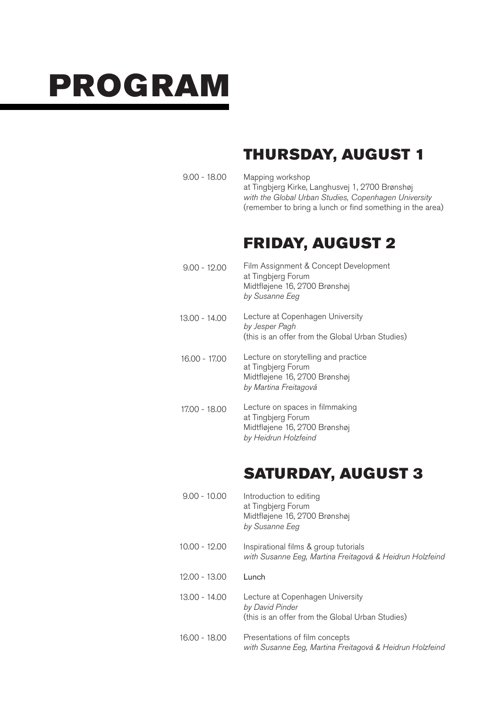### THURSDAY, AUGUST 1

Mapping workshop at Tingbjerg Kirke, Langhusvej 1, 2700 Brønshøj *with the Global Urban Studies, Copenhagen University*  (remember to bring a lunch or find something in the area) 9.00 - 18.00

#### FRIDAY, AUGUST 2

- Film Assignment & Concept Development at Tingbierg Forum Midtfløjene 16, 2700 Brønshøj *by Susanne Eeg* 9.00 - 12.00
- Lecture at Copenhagen University *by Jesper Pagh* (this is an offer from the Global Urban Studies) 13.00 - 14.00
- Lecture on storytelling and practice at Tingbjerg Forum Midtfløjene 16, 2700 Brønshøj *by Martina Freitagová* 16.00 - 17.00
- Lecture on spaces in filmmaking at Tingbjerg Forum Midtfløjene 16, 2700 Brønshøj *by Heidrun Holzfeind* 17.00 - 18.00

## SATURDAY, AUGUST 3

Introduction to editing at Tingbjerg Forum Midtfløjene 16, 2700 Brønshøj *by Susanne Eeg* Inspirational films & group tutorials *with Susanne Eeg, Martina Freitagová & Heidrun Holzfeind* Lunch Lecture at Copenhagen University *by David Pinder* (this is an offer from the Global Urban Studies) Presentations of film concepts *with Susanne Eeg, Martina Freitagová & Heidrun Holzfeind* 9.00 - 10.00 10.00 - 12.00 12.00 - 13.00 13.00 - 14.00 16.00 - 18.00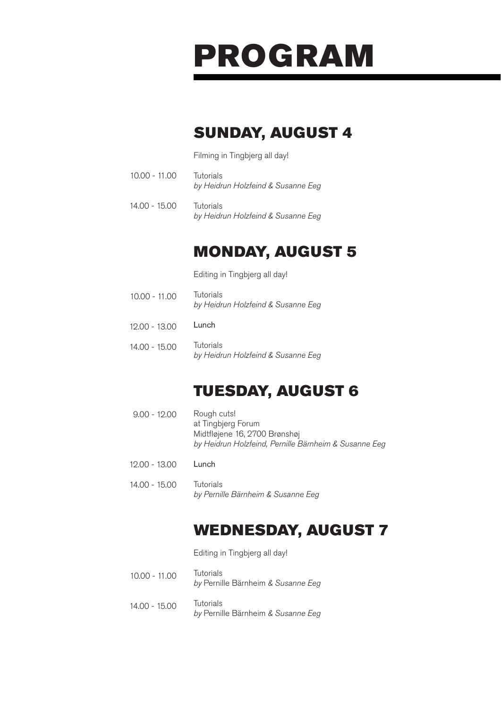### SUNDAY, AUGUST 4

Filming in Tingbjerg all day!

- **Tutorials** *by Heidrun Holzfeind & Susanne Eeg*  10.00 - 11.00
- **Tutorials** *by Heidrun Holzfeind & Susanne Eeg*  14.00 - 15.00

### MONDAY, AUGUST 5

Editing in Tingbjerg all day!

- **Tutorials** *by Heidrun Holzfeind & Susanne Eeg*  10.00 - 11.00
- Lunch 12.00 - 13.00
- **Tutorials** *by Heidrun Holzfeind & Susanne Eeg*  14.00 - 15.00

#### TUESDAY, AUGUST 6

- Rough cuts! at Tingbjerg Forum Midtfløjene 16, 2700 Brønshøj *by Heidrun Holzfeind, Pernille Bärnheim & Susanne Eeg* 9.00 - 12.00
- Lunch 12.00 - 13.00
- Tutorials *by Pernille Bärnheim & Susanne Eeg* 14.00 - 15.00

#### WEDNESDAY, AUGUST 7

Editing in Tingbjerg all day!

- **Tutorials** *by* Pernille Bärnheim *& Susanne Eeg*  10.00 - 11.00
- **Tutorials** *by* Pernille Bärnheim *& Susanne Eeg*  14.00 - 15.00